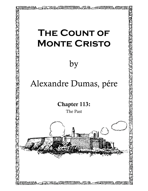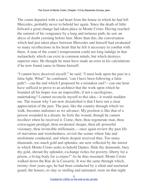The count departed with a sad heart from the house in which he had left Mercedes, probably never to behold her again. Since the death of little Edward a great change had taken place in Monte Cristo. Having reached the summit of his vengeance by a long and tortuous path, he saw an abyss of doubt yawning before him. More than this, the conversation which had just taken place between Mercedes and himself had awakened so many recollections in his heart that he felt it necessary to combat with them. A man of the count's temperament could not long indulge in that melancholy which can exist in common minds, but which destroys superior ones. He thought he must have made an error in his calculations if he now found cause to blame himself.

"I cannot have deceived myself," he said; "I must look upon the past in a false light. What!" he continued, "can I have been following a false path?—can the end which I proposed be a mistaken end?—can one hour have sufficed to prove to an architect that the work upon which he founded all his hopes was an impossible, if not a sacrilegious, undertaking? I cannot reconcile myself to this idea—it would madden me. The reason why I am now dissatisfied is that I have not a clear appreciation of the past. The past, like the country through which we walk, becomes indistinct as we advance. My position is like that of a person wounded in a dream; he feels the wound, though he cannot recollect when he received it. Come, then, thou regenerate man, thou extravagant prodigal, thou awakened sleeper, thou all–powerful visionary, thou invincible millionaire,—once again review thy past life of starvation and wretchedness, revisit the scenes where fate and misfortune conducted, and where despair received thee. Too many diamonds, too much gold and splendor, are now reflected by the mirror in which Monte Cristo seeks to behold Dantes. Hide thy diamonds, bury thy gold, shroud thy splendor, exchange riches for poverty, liberty for a prison, a living body for a corpse!" As he thus reasoned, Monte Cristo walked down the Rue de la Caisserie. It was the same through which, twenty–four years ago, he had been conducted by a silent and nocturnal guard; the houses, to–day so smiling and animated, were on that night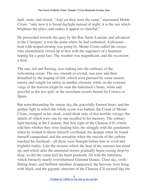dark, mute, and closed. "And yet they were the same," murmured Monte Cristo, "only now it is broad daylight instead of night; it is the sun which brightens the place, and makes it appear so cheerful."

He proceeded towards the quay by the Rue Saint–Laurent, and advanced to the Consigne; it was the point where he had embarked. A pleasure– boat with striped awning was going by. Monte Cristo called the owner, who immediately rowed up to him with the eagerness of a boatman hoping for a good fare. The weather was magnificent, and the excursion a treat.

The sun, red and flaming, was sinking into the embrace of the welcoming ocean. The sea, smooth as crystal, was now and then disturbed by the leaping of fish, which were pursued by some unseen enemy and sought for safety in another element; while on the extreme verge of the horizon might be seen the fishermen's boats, white and graceful as the sea–gull, or the merchant vessels bound for Corsica or Spain.

But notwithstanding the serene sky, the gracefully formed boats, and the golden light in which the whole scene was bathed, the Count of Monte Cristo, wrapped in his cloak, could think only of this terrible voyage, the details of which were one by one recalled to his memory. The solitary light burning at the Catalans; that first sight of the Chateau d'If, which told him whither they were leading him; the struggle with the gendarmes when he wished to throw himself overboard; his despair when he found himself vanquished, and the sensation when the muzzle of the carbine touched his forehead—all these were brought before him in vivid and frightful reality. Like the streams which the heat of the summer has dried up, and which after the autumnal storms gradually begin oozing drop by drop, so did the count feel his heart gradually fill with the bitterness which formerly nearly overwhelmed Edmond Dantes. Clear sky, swift– flitting boats, and brilliant sunshine disappeared; the heavens were hung with black, and the gigantic structure of the Chateau d'If seemed like the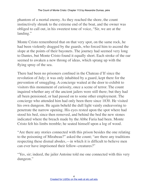phantom of a mortal enemy. As they reached the shore, the count instinctively shrunk to the extreme end of the boat, and the owner was obliged to call out, in his sweetest tone of voice, "Sir, we are at the landing."

Monte Cristo remembered that on that very spot, on the same rock, he had been violently dragged by the guards, who forced him to ascend the slope at the points of their bayonets. The journey had seemed very long to Dantes, but Monte Cristo found it equally short. Each stroke of the oar seemed to awaken a new throng of ideas, which sprang up with the flying spray of the sea.

There had been no prisoners confined in the Chateau d'If since the revolution of July; it was only inhabited by a guard, kept there for the prevention of smuggling. A concierge waited at the door to exhibit to visitors this monument of curiosity, once a scene of terror. The count inquired whether any of the ancient jailers were still there; but they had all been pensioned, or had passed on to some other employment. The concierge who attended him had only been there since 1830. He visited his own dungeon. He again beheld the dull light vainly endeavoring to penetrate the narrow opening. His eyes rested upon the spot where had stood his bed, since then removed, and behind the bed the new stones indicated where the breach made by the Abbe Faria had been. Monte Cristo felt his limbs tremble; he seated himself upon a log of wood.

"Are there any stories connected with this prison besides the one relating to the poisoning of Mirabeau?" asked the count; "are there any traditions respecting these dismal abodes,—in which it is difficult to believe men can ever have imprisoned their fellow–creatures?"

"Yes, sir; indeed, the jailer Antoine told me one connected with this very dungeon."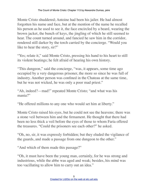Monte Cristo shuddered; Antoine had been his jailer. He had almost forgotten his name and face, but at the mention of the name he recalled his person as he used to see it, the face encircled by a beard, wearing the brown jacket, the bunch of keys, the jingling of which he still seemed to hear. The count turned around, and fancied he saw him in the corridor, rendered still darker by the torch carried by the concierge. "Would you like to hear the story, sir?"

"Yes; relate it," said Monte Cristo, pressing his hand to his heart to still its violent beatings; he felt afraid of hearing his own history.

"This dungeon," said the concierge, "was, it appears, some time ago occupied by a very dangerous prisoner, the more so since he was full of industry. Another person was confined in the Chateau at the same time, but he was not wicked, he was only a poor mad priest."

"Ah, indeed?—mad!" repeated Monte Cristo; "and what was his mania?"

"He offered millions to any one who would set him at liberty."

Monte Cristo raised his eyes, but he could not see the heavens; there was a stone veil between him and the firmament. He thought that there had been no less thick a veil before the eyes of those to whom Faria offered the treasures. "Could the prisoners see each other?" he asked.

"Oh, no, sir, it was expressly forbidden; but they eluded the vigilance of the guards, and made a passage from one dungeon to the other."

"And which of them made this passage?"

"Oh, it must have been the young man, certainly, for he was strong and industrious, while the abbe was aged and weak; besides, his mind was too vacillating to allow him to carry out an idea."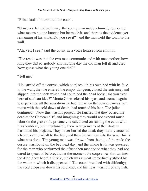"Blind fools!" murmured the count.

"However, be that as it may, the young man made a tunnel, how or by what means no one knows; but he made it, and there is the evidence yet remaining of his work. Do you see it?" and the man held the torch to the wall.

"Ah, yes; I see," said the count, in a voice hoarse from emotion.

"The result was that the two men communicated with one another; how long they did so, nobody knows. One day the old man fell ill and died. Now guess what the young one did?"

"Tell me."

"He carried off the corpse, which he placed in his own bed with its face to the wall; then he entered the empty dungeon, closed the entrance, and slipped into the sack which had contained the dead body. Did you ever hear of such an idea?" Monte Cristo closed his eyes, and seemed again to experience all the sensations he had felt when the coarse canvas, yet moist with the cold dews of death, had touched his face. The jailer continued: "Now this was his project. He fancied that they buried the dead at the Chateau d'If, and imagining they would not expend much labor on the grave of a prisoner, he calculated on raising the earth with his shoulders, but unfortunately their arrangements at the Chateau frustrated his projects. They never buried the dead; they merely attached a heavy cannon–ball to the feet, and then threw them into the sea. This is what was done. The young man was thrown from the top of the rock; the corpse was found on the bed next day, and the whole truth was guessed, for the men who performed the office then mentioned what they had not dared to speak of before, that at the moment the corpse was thrown into the deep, they heard a shriek, which was almost immediately stifled by the water in which it disappeared." The count breathed with difficulty; the cold drops ran down his forehead, and his heart was full of anguish.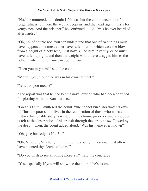"No," he muttered, "the doubt I felt was but the commencement of forgetfulness; but here the wound reopens, and the heart again thirsts for vengeance. And the prisoner," he continued aloud, "was he ever heard of afterwards?"

"Oh, no; of course not. You can understand that one of two things must have happened; he must either have fallen flat, in which case the blow, from a height of ninety feet, must have killed him instantly, or he must have fallen upright, and then the weight would have dragged him to the bottom, where he remained—poor fellow!"

"Then you pity him?" said the count.

"Ma foi, yes; though he was in his own element."

"What do you mean?"

"The report was that he had been a naval officer, who had been confined for plotting with the Bonapartists."

"Great is truth," muttered the count, "fire cannot burn, nor water drown it! Thus the poor sailor lives in the recollection of those who narrate his history; his terrible story is recited in the chimney–corner, and a shudder is felt at the description of his transit through the air to be swallowed by the deep." Then, the count added aloud, "Was his name ever known?"

"Oh, yes; but only as No. 34."

"Oh, Villefort, Villefort," murmured the count, "this scene must often have haunted thy sleepless hours!"

"Do you wish to see anything more, sir?" said the concierge.

"Yes, especially if you will show me the poor abbe's room."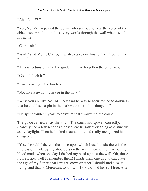"Ah—No. 27."

"Yes; No. 27." repeated the count, who seemed to hear the voice of the abbe answering him in those very words through the wall when asked his name.

"Come, sir."

"Wait," said Monte Cristo, "I wish to take one final glance around this room."

"This is fortunate," said the guide; "I have forgotten the other key."

"Go and fetch it."

"I will leave you the torch, sir."

"No, take it away; I can see in the dark."

"Why, you are like No. 34. They said he was so accustomed to darkness that he could see a pin in the darkest corner of his dungeon."

"He spent fourteen years to arrive at that," muttered the count.

The guide carried away the torch. The count had spoken correctly. Scarcely had a few seconds elapsed, ere he saw everything as distinctly as by daylight. Then he looked around him, and really recognized his dungeon.

"Yes," he said, "there is the stone upon which I used to sit; there is the impression made by my shoulders on the wall; there is the mark of my blood made when one day I dashed my head against the wall. Oh, those figures, how well I remember them! I made them one day to calculate the age of my father, that I might know whether I should find him still living, and that of Mercedes, to know if I should find her still free. After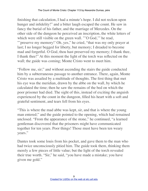finishing that calculation, I had a minute's hope. I did not reckon upon hunger and infidelity!" and a bitter laugh escaped the count. He saw in fancy the burial of his father, and the marriage of Mercedes. On the other side of the dungeon he perceived an inscription, the white letters of which were still visible on the green wall. "'O God," he read, "'preserve my memory!' Oh, yes," he cried, "that was my only prayer at last; I no longer begged for liberty, but memory; I dreaded to become mad and forgetful. O God, thou hast preserved my memory; I thank thee, I thank thee!" At this moment the light of the torch was reflected on the wall; the guide was coming; Monte Cristo went to meet him.

"Follow me, sir;" and without ascending the stairs the guide conducted him by a subterraneous passage to another entrance. There, again, Monte Cristo was assailed by a multitude of thoughts. The first thing that met his eye was the meridian, drawn by the abbe on the wall, by which he calculated the time; then he saw the remains of the bed on which the poor prisoner had died. The sight of this, instead of exciting the anguish experienced by the count in the dungeon, filled his heart with a soft and grateful sentiment, and tears fell from his eyes.

"This is where the mad abbe was kept, sir, and that is where the young man entered;" and the guide pointed to the opening, which had remained unclosed. "From the appearance of the stone," he continued, "a learned gentleman discovered that the prisoners might have communicated together for ten years. Poor things! Those must have been ten weary years."

Dantes took some louis from his pocket, and gave them to the man who had twice unconsciously pitied him. The guide took them, thinking them merely a few pieces of little value; but the light of the torch revealed their true worth. "Sir," he said, "you have made a mistake; you have given me gold."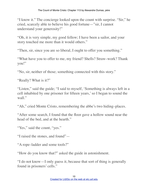"I know it." The concierge looked upon the count with surprise. "Sir," he cried, scarcely able to believe his good fortune—"sir, I cannot understand your generosity!"

"Oh, it is very simple, my good fellow; I have been a sailor, and your story touched me more than it would others."

"Then, sir, since you are so liberal, I ought to offer you something."

"What have you to offer to me, my friend? Shells? Straw–work? Thank you!"

"No, sir, neither of those; something connected with this story."

"Really? What is it?"

"Listen," said the guide; "I said to myself, 'Something is always left in a cell inhabited by one prisoner for fifteen years,' so I began to sound the wall."

"Ah," cried Monte Cristo, remembering the abbe's two hiding–places.

"After some search, I found that the floor gave a hollow sound near the head of the bed, and at the hearth."

"Yes," said the count, "yes."

"I raised the stones, and found"—

"A rope–ladder and some tools?"

"How do you know that?" asked the guide in astonishment.

"I do not know—I only guess it, because that sort of thing is generally found in prisoners' cells."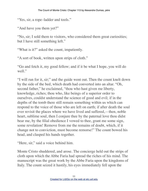"Yes, sir, a rope–ladder and tools."

"And have you them yet?"

"No, sir; I sold them to visitors, who considered them great curiosities; but I have still something left."

"What is it?" asked the count, impatiently.

"A sort of book, written upon strips of cloth."

"Go and fetch it, my good fellow; and if it be what I hope, you will do well."

"I will run for it, sir;" and the guide went out. Then the count knelt down by the side of the bed, which death had converted into an altar. "Oh, second father," he exclaimed, "thou who hast given me liberty, knowledge, riches; thou who, like beings of a superior order to ourselves, couldst understand the science of good and evil; if in the depths of the tomb there still remain something within us which can respond to the voice of those who are left on earth; if after death the soul ever revisit the places where we have lived and suffered,—then, noble heart, sublime soul, then I conjure thee by the paternal love thou didst bear me, by the filial obedience I vowed to thee, grant me some sign, some revelation! Remove from me the remains of doubt, which, if it change not to conviction, must become remorse!" The count bowed his head, and clasped his hands together.

"Here, sir," said a voice behind him.

Monte Cristo shuddered, and arose. The concierge held out the strips of cloth upon which the Abbe Faria had spread the riches of his mind. The manuscript was the great work by the Abbe Faria upon the kingdoms of Italy. The count seized it hastily, his eyes immediately fell upon the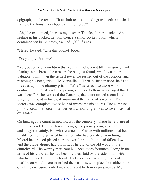epigraph, and he read, "'Thou shalt tear out the dragons' teeth, and shall trample the lions under foot, saith the Lord.'"

"Ah," he exclaimed, "here is my answer. Thanks, father, thanks." And feeling in his pocket, he took thence a small pocket–book, which contained ten bank–notes, each of 1,000. francs.

"Here," he said, "take this pocket–book."

"Do you give it to me?"

"Yes; but only on condition that you will not open it till I am gone;" and placing in his breast the treasure he had just found, which was more valuable to him than the richest jewel, he rushed out of the corridor, and reaching his boat, cried, "To Marseilles!" Then, as he departed, he fixed his eyes upon the gloomy prison. "Woe," he cried, "to those who confined me in that wretched prison; and woe to those who forgot that I was there!" As he repassed the Catalans, the count turned around and burying his head in his cloak murmured the name of a woman. The victory was complete; twice he had overcome his doubts. The name he pronounced, in a voice of tenderness, amounting almost to love, was that of Haidee.

On landing, the count turned towards the cemetery, where he felt sure of finding Morrel. He, too, ten years ago, had piously sought out a tomb, and sought it vainly. He, who returned to France with millions, had been unable to find the grave of his father, who had perished from hunger. Morrel had indeed placed a cross over the spot, but it had fallen down and the grave–digger had burnt it, as he did all the old wood in the churchyard. The worthy merchant had been more fortunate. Dying in the arms of his children, he had been by them laid by the side of his wife, who had preceded him in eternity by two years. Two large slabs of marble, on which were inscribed their names, were placed on either side of a little enclosure, railed in, and shaded by four cypress–trees. Morrel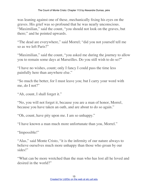was leaning against one of these, mechanically fixing his eyes on the graves. His grief was so profound that he was nearly unconscious. "Maximilian," said the count, "you should not look on the graves, but there;" and he pointed upwards.

"The dead are everywhere," said Morrel; "did you not yourself tell me so as we left Paris?"

"Maximilian," said the count, "you asked me during the journey to allow you to remain some days at Marseilles. Do you still wish to do so?"

"I have no wishes, count; only I fancy I could pass the time less painfully here than anywhere else."

"So much the better, for I must leave you; but I carry your word with me, do I not?"

"Ah, count, I shall forget it."

"No, you will not forget it, because you are a man of honor, Morrel, because you have taken an oath, and are about to do so again."

"Oh, count, have pity upon me. I am so unhappy."

"I have known a man much more unfortunate than you, Morrel."

"Impossible!"

"Alas," said Monte Cristo, "it is the infirmity of our nature always to believe ourselves much more unhappy than those who groan by our sides!"

"What can be more wretched than the man who has lost all he loved and desired in the world?"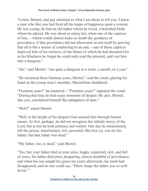"Listen, Morrel, and pay attention to what I am about to tell you. I knew a man who like you had fixed all his hopes of happiness upon a woman. He was young, he had an old father whom he loved, a betrothed bride whom he adored. He was about to marry her, when one of the caprices of fate,—which would almost make us doubt the goodness of providence, if that providence did not afterwards reveal itself by proving that all is but a means of conducting to an end,—one of those caprices deprived him of his mistress, of the future of which he had dreamed (for in his blindness he forgot he could only read the present), and cast him into a dungeon."

"Ah," said Morrel, "one quits a dungeon in a week, a month, or a year."

"He remained there fourteen years, Morrel," said the count, placing his hand on the young man's shoulder. Maximilian shuddered.

"Fourteen years!" he muttered—"Fourteen years!" repeated the count. "During that time he had many moments of despair. He also, Morrel, like you, considered himself the unhappiest of men."

"Well?" asked Morrel.

"Well, at the height of his despair God assisted him through human means. At first, perhaps, he did not recognize the infinite mercy of the Lord, but at last he took patience and waited. One day he miraculously left the prison, transformed, rich, powerful. His first cry was for his father; but that father was dead."

"My father, too, is dead," said Morrel.

"Yes; but your father died in your arms, happy, respected, rich, and full of years; his father died poor, despairing, almost doubtful of providence; and when his son sought his grave ten years afterwards, his tomb had disappeared, and no one could say, 'There sleeps the father you so well loved."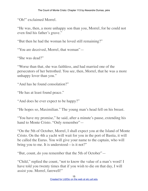"Oh!" exclaimed Morrel.

"He was, then, a more unhappy son than you, Morrel, for he could not even find his father's grave."

"But then he had the woman he loved still remaining?"

"You are deceived, Morrel, that woman"-

"She was dead?"

"Worse than that, she was faithless, and had married one of the persecutors of her betrothed. You see, then, Morrel, that he was a more unhappy lover than you."

"And has he found consolation?"

"He has at least found peace."

"And does he ever expect to be happy?"

"He hopes so, Maximilian." The young man's head fell on his breast.

"You have my promise," he said, after a minute's pause, extending his hand to Monte Cristo. "Only remember"—

"On the 5th of October, Morrel, I shall expect you at the Island of Monte Cristo. On the 4th a yacht will wait for you in the port of Bastia, it will be called the Eurus. You will give your name to the captain, who will bring you to me. It is understood—is it not?"

"But, count, do you remember that the 5th of October"—

"Child," replied the count, "not to know the value of a man's word! I have told you twenty times that if you wish to die on that day, I will assist you. Morrel, farewell!"